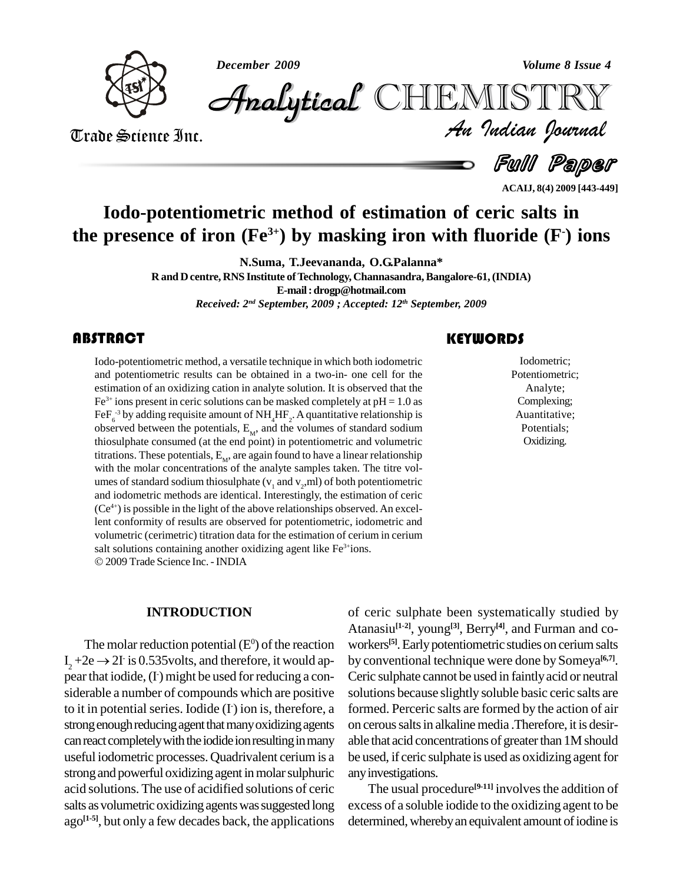*December 2009 Volume 8 Issue 4*



*Volume 8 Issue 4*<br>IISTRY<br>Indian Iournal CHEMISTRY

Trade Science Inc. Trade Science Inc.

 $=$  Full Paper

**ACAIJ, 8(4) 2009 [443-449]**

# **Iodo-potentiometric method of estimation of ceric salts in the presence of iron (Fe 3+) by masking iron with fluoride (F -) ions**

**N.Suma, T.Jeevananda, O.G.Palanna\***

 $R$  and  $D$  centre, RNS Institute of Technology, Channasandra, Bangalore-61, (INDIA) **E-mail:[drogp@hotmail.com](mailto:drogp@hotmail.com)**

*Received: 2 nd September, 2009 ; Accepted: 12 th September, 2009*

#### **ABSTRACT**

Iodo-potentiometric meth<br>and potentiometric resul<br>estimation of an oxidizin Iodo-potentiometric method, a versatile technique in which both iodometric and potentiometric results can be obtained in a two-in- one cell for the estimation of an oxidizing cation in analyte solution. It is observed that the  $Fe<sup>3+</sup>$  ions present in ceric solutions can be masked completely at pH = 1.0 as FeF $_6^{\text{--}3}$  by adding requisite amount of NH<sub>4</sub>HF<sub>2</sub>. A quantitative relationship is observed between the potentials,  $E_M$ , and the volumes of standard sodium thiosulphate consumed (at the end point) in potentiometric and volumetric titrations. These potentials,  $\mathrm{E}_{_\mathrm{M}}$ , are again found to have a linear relationship with the molar concentrations of the analyte samples taken. The titre vol umes of standard sodium thiosulphate ( $v_1$  and  $v_2$ ,ml) of both potentiometric and iodometric methods are identical. Interestingly, the estimation of ceric (Ce 4+) is possible in the light of the above relationships observed. An excellent conformity of results are observed for potentiometric, iodometric and volumetric (cerimetric) titration data for the estimation of cerium in cerium volumetric (cerimetric) titration data for the estimation of cerium in salt solutions containing another oxidizing agent like Fe<sup>3+</sup>ions. 2009 Trade Science Inc. -INDIA

#### **INTRODUCTION**

The molar reduction potential  $(E^0)$  of the reaction worker Ata<br>
The molar reduction potential (E<sup>0</sup>) of the reaction wor<br>  $I_2 + 2e \rightarrow 2I$  is 0.535 volts, and therefore, it would ap- by c pear that iodide, (I) might be used for reducing a con- Cer siderable a number of compounds which are positive to it in potential series. Iodide  $(I)$  ion is, therefore, a forme strong enough reducing agent that many oxidizing agents can react completely with the iodide ion resulting in many useful iodometric processes.Quadrivalent cerium is a strongand powerful oxidizing agent inmolarsulphuric acid solutions. The use of acidified solutions of ceric salts as volumetric oxidizing agents was suggested long ago<sup>[1-5]</sup>, but only a few decades back, the applications deter

of ceric sulphate been systematically studied by Atanasiu **[1-2]**, young **[3]**, Berry **[4]**, and Furman and co workers **[5]**.Earlypotentiometric studies on ceriumsalts by conventional technique were done by Someya **[6,7]**. Ceric sulphate cannot be used in faintlyacid or neutral solutions because slightly soluble basic ceric salts are formed. Perceric salts are formed by the action of air on cerous salts in alkaline media .Therefore, it is desirable that acid concentrations of greater than 1M should be used, if ceric sulphate is used as oxidizing agent for anyinvestigations.

The usual procedure<sup>[9-11]</sup> involves the addition of excess of a soluble iodide to the oxidizing agent to be determined, whereby an equivalent amount of iodine is

Iodometric;<br>Potentiometri<br>Analyte; Iodometric; Potentiometric; Analyte; Complexing; Auantitative; Potentials; Oxidizing.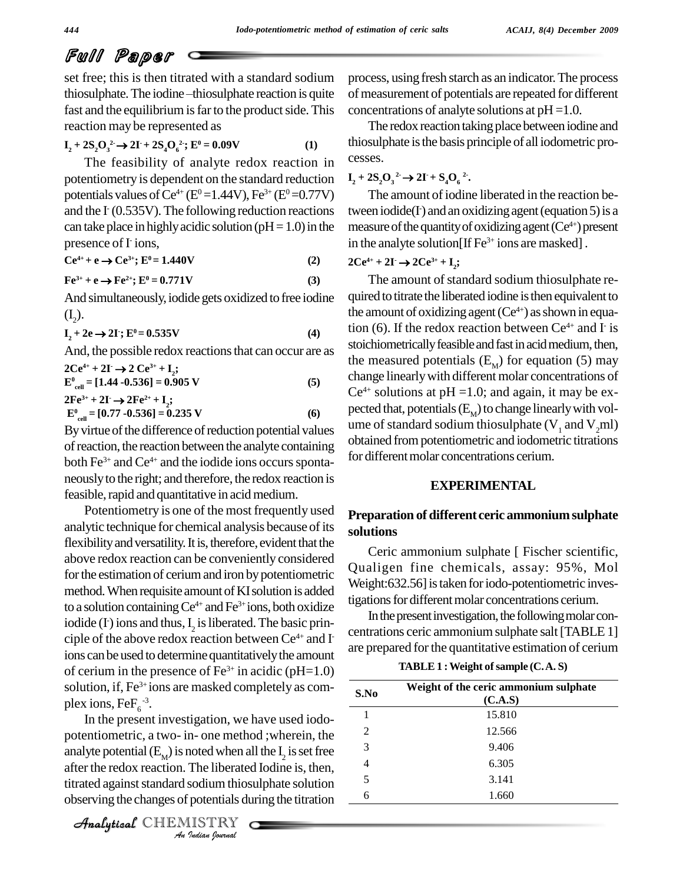set free; this is then titrated with a standard sodium process, using thiosulphate.The iodine <sup>ñ</sup>thiosulphate reaction isquite fast and the equilibrium is far to the product side. This reaction may be represented as<br> $\mathbf{I} + 2\mathbf{S} \mathbf{O}^2 \rightarrow 2\mathbf{I} + 2\mathbf{S} \mathbf{O}^2 \cdot \mathbf{F}^0 = 0.09\mathbf{V}$ 

$$
I_2 + 2S_2O_3^2 \to 2I + 2S_4O_6^2; E^0 = 0.09V
$$
 (1)

The feasibility of analyte redox reaction in potentiometry is dependent on the standard reduction potentials values of Ce<sup>4+</sup> (E<sup>0</sup>=1.44V), Fe<sup>3+</sup> (E<sup>0</sup>=0.77V) and the I (0.535V). The following reduction reactions twee can take place in highly acidic solution ( $pH=1.0$ ) in the presence of I ions, **Ce 4+ <sup>+</sup> <sup>e</sup> Ce 3+; E <sup>0</sup>= 1.440V (2) 3+ <sup>+</sup> <sup>e</sup> Fe**

$$
Fe^{3+} + e \rightarrow Fe^{2+}; E^0 = 0.771V
$$
 (3)

And simultaneously, iodide gets oxidized to free iodine quired  $(I_2)$ .<br>  $I_2 + 2e \rightarrow 2I$ ;  $E^0 = 0.535V$  (4) tion (4)  $(I_2)$ .

$$
I_2 + 2e \rightarrow 2I^2; E^0 = 0.535V \tag{4}
$$

And, the possible redox reactions that can occur are as  $\frac{1}{4}$ **--**<br>**pos**<br>- -

 $2Ce^{4+} + 2I \rightarrow 2Ce^{3+} + I_2;$  $\mathbf{E}^{\mathbf{0}}_{\text{cell}} = [1.44 \cdot 0.536] = 0.905 \text{ V}$  (5)  $2Fe^{3+} + 2I \rightarrow 2Fe^{2+} + I_2;$ r →<br>14 -(<br>- →  $\mathbf{E}^{\text{o}}_{\text{cell}} = [0.77 \text{ } -0.536] = 0.235 \text{ V}$  (6)

By virtue of the difference of reduction potential values of reaction, the reaction between the analyte containing both  $Fe^{3+}$  and  $Ce^{4+}$  and the iodide ions occurs spontaneouslyto the right; and therefore, the redox reaction is feasible, rapid and quantitative in acid medium.

Potentiometry is one of the most frequently used analytic technique for chemical analysis because of its flexibility and versatility. It is, therefore, evident that the above redox reaction can be conveniently considered for the estimation of cerium and iron by potentiometric method. When requisite amount of KI solution is added to a solution containing  $Ce^{4+}$  and  $Fe^{3+}$  ions, both oxidize iodide (F) ions and thus,  $I_2$  is liberated. The basic principle of the above redox reaction between  $\text{Ce}^{4+}$  and I centure ions can be used to determine quantitatively the amount of cerium in the presence of  $Fe^{3+}$  in acidic (pH=1.0) solution, if, Fe<sup>3+</sup>ions are masked completely as complex ions,  $\text{FeF}_6^{-3}$ .

potentiometric, a two- in- one method ;wherein, the  $\frac{2}{3}$ potentionictic, a two- in- one inctition, wherein, the<br>
analyte potential  $(E_M)$  is noted when all the I<sub>2</sub> is set free<br>
after the redox reaction. The liberated Iodine is, then,<br>
titrated against standard sodium thiosulpha In the present investigation, we have used iodo after the redox reaction. The liberated Iodine is, then, titrated against standard sodium thiosulphate solution observing the changes of potentials during the titration

 CHEMISTRY 

process, using fresh starch as an indicator.The process of measurement of potentials are repeated for different concentrations of analyte solutions at  $pH = 1.0$ .

The redox reaction taking place between iodine and thiosulphate is the basis principle of all iodometric processes. **I 2 CESSES D 2I 2 E 2C 2I 2C 2C 2C 2C 2C 2C 2C 2C 2C 2C 2C 2C 2C 2C 2C 2C 2C 2C 2C 2C 2C 2C 2C 2C 2** 

The amount of iodine liberated in the reaction between iodide(I) and an oxidizing agent (equation 5) is a measure of the quantity of oxidizing agent (Ce<sup>4+</sup>) present in the analyte solution[If Fe<sup>3+</sup> ions are masked] .<br>  $2Ce^{4+} + 2I \rightarrow 2Ce^{3+} + I$ 

#### $2Ce^{4+} + 2I \rightarrow 2Ce^{3+} + I_2;$

The amount of standard sodium thiosulphate required to titrate the liberated iodine is then equivalent to the amount of oxidizing agent  $(Ce^{4+})$  as shown in equation (6). If the redox reaction between  $Ce^{4+}$  and I is stoichiometrically feasible and fast in acid medium, then, the measured potentials  $(E_M)$  for equation (5) may change linearlywith different molar concentrations of  $Ce^{4+}$  solutions at pH =1.0; and again, it may be expected that, potentials  $(E_{\overline{M}})$  to change linearly with volume of standard sodium thiosulphate ( $V_1$  and  $V_2$ ml) obtained frompotentiometric and iodometric titrations for different molar concentrations cerium.

#### **EXPERIMENTAL**

#### **Preparation of different ceric ammoniumsulphate solutions**

Ceric ammonium sulphate [ Fischer scientific, Qualigen fine chemicals, assay: 95%, Mol Weight:632.56] is taken for iodo-potentiometric investigations for different molar concentrations cerium.

- centrations ceric ammoniumsulphate salt[TABLE 1] In the present investigation, the following molar conare prepared forthe quantitative estimation of cerium

**TABLE1 :Weight ofsample (C.A. S)**

| S.No           | Weight of the ceric ammonium sulphate<br>(C.A.S) |
|----------------|--------------------------------------------------|
|                | 15.810                                           |
| 2              | 12.566                                           |
| 3              | 9.406                                            |
| 4              | 6.305                                            |
| $\overline{5}$ | 3.141                                            |
| 6              | 1.660                                            |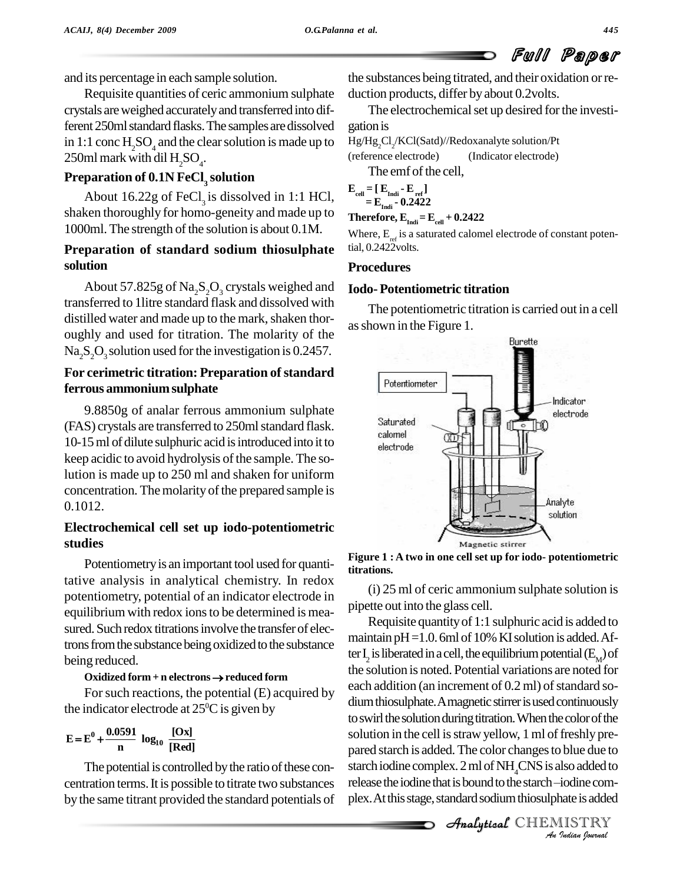and its percentage in each sample solution.

Requisite quantities of ceric ammonium sulphate crystals areweighed accuratelyand transferred into different 250ml standard flasks. The samples are dissolved in 1:1 conc  $H_2SO_4$  and the clear solution is made up to  $Hg/Hg_2Cl_2/KCl(Satd)$ <br>250ml mark with dil H SO (reference electrode) 250ml mark with dil  $\rm H_2SO_4$ .

### **Preparation of 0.1N FeCl<sup>3</sup> solution**

About 16.22g of FeCl<sub>3</sub> is dissolved in 1:1 HCl,  $\frac{1}{2}$ <sup>e</sup> shaken thoroughly for homo-geneity and made up to 1000ml. The strength of the solution is about 0.1M.

### **Preparation of standard sodium thiosulphate solution**

About 57.825g of Na<sub>2</sub>S<sub>2</sub>O<sub>3</sub> crystals weighed and transferred to 1litre standard flask and dissolved with distilled water and made up to the mark, shaken thoroughly and used for titration. The molarity of the  $Na<sub>2</sub>S<sub>2</sub>O<sub>3</sub>$  solution used for the investigation is 0.2457.

#### **For cerimetric titration: Preparation of standard ferrous ammoniumsulphate**

9.8850g of analar ferrous ammonium sulphate<br>Solvewatels are transformed to  $250m$  standard floats (FAS) crystals are transferred to 250ml standard flask. 10-15 ml of dilute sulphuric acid is introduced into it to electrode keep acidic to avoid hydrolysis of the sample. The solution is made up to 250 ml and shaken for uniform concentration. The molarity of the prepared sample is 0.1012.

#### **Electrochemical cell set up iodo-potentiometric studies**

Potentiometry is an important tool used for quantitative analysis in analytical chemistry. In redox potentiometry, potential of an indicator electrode in equilibrium with redox ions to be determined is measured. Such redox titrations involve the transfer of electrons from the substance being oxidized to the substance being reduced.

#### **Oxidized form <sup>+</sup> <sup>n</sup> electrons reduced form**

For such reactions, the potential  $(E)$  acquired by the indicator electrode at 25<sup>o</sup>C is given by<br> $E = E^0 + \frac{0.0591}{\log_{10}} \log_{10} \frac{[Ox]}{]}$ 

$$
E = E^{0} + \frac{0.0591}{n} \log_{10} \frac{[Ox]}{[Red]}
$$

The potential is controlled by the ratio of these concentration terms.It is possible to titrate two substances by the same titrant provided the standard potentials of the substances being titrated, and their oxidation orre duction products, differ by about 0.2volts.

The electrochemical set up desired for the investigation is

Hg/Hg<sub>2</sub>Cl<sub>2</sub>/KCl(Satd)//Redoxanalyte solution/Pt (Indicator electrode)

The emf of the cell.

$$
\mathbf{E}_{\text{cell}} = [\mathbf{E}_{\text{Indi}} - \mathbf{E}_{\text{ref}}]
$$

$$
= \mathbf{E}_{\text{Indi}} - 0.2422
$$

Therefore, 
$$
E_{\text{Indi}} = E_{\text{cell}} + 0.2422
$$

Where,  $E_{ref}$  is a saturated calomel electrode of constant potential, 0.2422volts.

#### **Procedures**

#### **Iodo- Potentiometric titration**

The potentiometric titration is carried out in a cell asshown in the Figure 1.



**Figure 1 : A two in one cell set up for iodo- potentiometric titrations.**

(i) 25 ml of ceric ammonium sulphate solution is pipette out into the glass cell.

solution in the cell is straw yellow, 1 ml of freshly prepared starch is added. The color changes to blue due to<br>
starch iodine complex. 2 ml of NH<sub>4</sub>CNS is also added to<br>
release the iodine that is bound to the starch—iodine com-<br>
plex. At this stage, standard sodium thiosulpha pared starch is added. The color changes to blue due to Requisite quantity of 1:1 sulphuric acid is added to maintain  $pH = 1.0$ . 6ml of 10% KI solution is added. After  $\mathrm{I}_2$  is liberated in a cell, the equilibrium potential  $(\mathrm{E}_{_\mathrm{M}})$  of the solution is noted. Potential variations are noted for each addition (an increment of  $(0.2 \text{ ml})$  of standard sodium thiosulphate. A magnetic stirrer is used continuously to swirl the solution during titration. When the color of the starch iodine complex. 2 ml of NH<sub>4</sub>CNS is also added to plex. At this stage, standard sodium thiosulphate is added

**Analytical** CHEMISTRY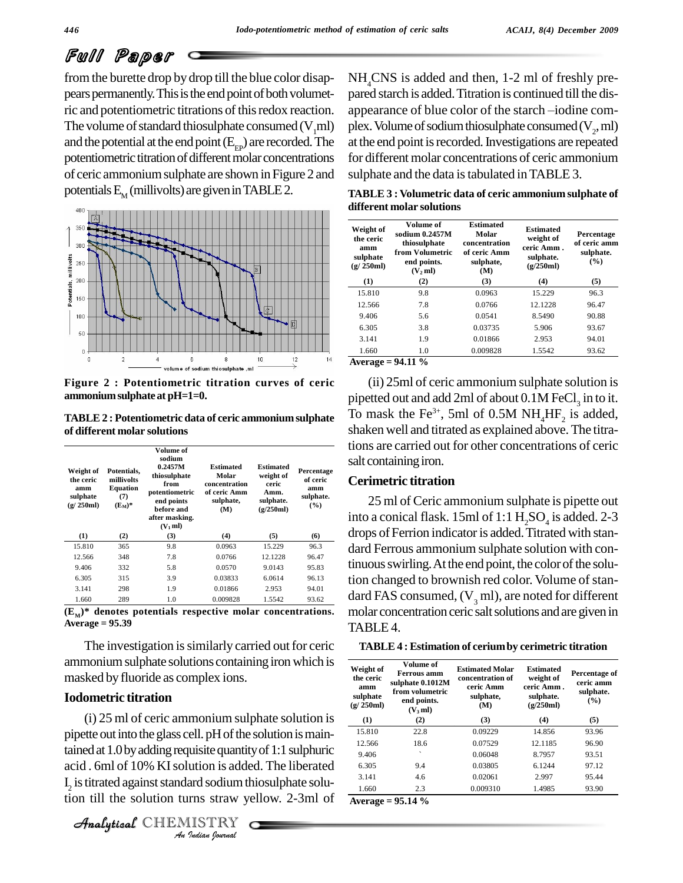from the burette drop by drop till the blue color disap pears permanently. This is the end point of both volumetric and potentiometric titrations of this redox reaction. appearance of blue color of the starch -iodine com-The volume of standard thiosulphate consumed  $(V,ml)$ and the potential at the end point  $(E_{\text{ep}})$  are recorded. The potentiometric titration of different molar concentrations of ceric ammoniumsulphate are shown inFigure 2 and potentials  $E_{\rm M}$  (millivolts) are given in TABLE 2.



**Figure 2 : Potentiometric titration curves of ceric ammoniumsulphateat pH=1=0.**

**TABLE2 : Potentiometric data of ceric ammoniumsulphate of different molar solutions**

| Weight of<br>the ceric<br>amm<br>sulphate<br>(g/250ml) | Potentials.<br>millivolts<br><b>Equation</b><br>(7)<br>$(E_M)^*$ | Volume of<br>sodium<br>0.2457M<br>thiosulphate<br>from<br>potentiometric<br>end points<br>before and<br>after masking.<br>$(V_1$ ml) | <b>Estimated</b><br>Molar<br>concentration<br>of ceric Amm<br>sulphate,<br>(M) | <b>Estimated</b><br>weight of<br>ceric<br>Amm.<br>sulphate.<br>(g/250ml) | Percentage<br>of ceric<br>amm<br>sulphate.<br>$($ %) |
|--------------------------------------------------------|------------------------------------------------------------------|--------------------------------------------------------------------------------------------------------------------------------------|--------------------------------------------------------------------------------|--------------------------------------------------------------------------|------------------------------------------------------|
| (1)                                                    | (2)                                                              | (3)                                                                                                                                  | (4)                                                                            | (5)                                                                      | (6)                                                  |
| 15.810                                                 | 365                                                              | 9.8                                                                                                                                  | 0.0963                                                                         | 15.229                                                                   | 96.3                                                 |
| 12.566                                                 | 348                                                              | 7.8                                                                                                                                  | 0.0766                                                                         | 12.1228                                                                  | 96.47                                                |
| 9.406                                                  | 332                                                              | 5.8                                                                                                                                  | 0.0570                                                                         | 9.0143                                                                   | 95.83                                                |
| 6.305                                                  | 315                                                              | 3.9                                                                                                                                  | 0.03833                                                                        | 6.0614                                                                   | 96.13                                                |
| 3.141                                                  | 298                                                              | 1.9                                                                                                                                  | 0.01866                                                                        | 2.953                                                                    | 94.01                                                |
| 1.660                                                  | 289                                                              | 1.0                                                                                                                                  | 0.009828                                                                       | 1.5542                                                                   | 93.62                                                |

 $(E_M)^*$  denotes potentials respective molar concentrations.  $\Sigma$ **Average = 95.39**

The investigation is similarly carried out for ceric ammonium sulphate solutions containing iron which is masked byfluoride as complex ions.

#### **Iodometric titration**

pipette out into the glass cell. pH of the solution is main-*Indian*<br> *Indian*<br> *Indian*<br> *ISTRY*<br> *ISTRY*<br> *Indian Iourual* tained at 1.0 by adding requisite quantity of 1:1 sulphuric  $\frac{12.566}{9.406}$ (i) 25 ml of ceric ammonium sulphate solution is acid . 6ml of 10% KI solution is added. The liberated  ${\rm I}_2$  is titrated against standard sodium thiosulphate solution till the solution turns straw yellow. 2-3ml of

```
CHEMISTRY
```
NH<sub>4</sub>CNS is added and then, 1-2 ml of freshly pre-<br>pared starch is added. Titration is continued till the dis-<br>appearance of blue color of the starch —iodine complex. Volume of sodium thiosulphate consumed  $(V_2, ml)$ at the end point is recorded. Investigations are repeated for different molar concentrations of ceric ammonium sulphate and the data is tabulated in TABLE 3.

**TABLE 3 : Volumetric data of ceric ammonium sulphate of different molar solutions**

| Weight of<br>the ceric<br>amm<br>sulphate<br>(g/250ml) | Volume of<br>sodium 0.2457M<br>thiosulphate<br>from Volumetric<br>end points.<br>(V <sub>2</sub> ml) | <b>Estimated</b><br>Molar<br>concentration<br>of ceric Amm<br>sulphate,<br>(M) | <b>Estimated</b><br>weight of<br>ceric Amm.<br>sulphate.<br>(g/250ml) | Percentage<br>of ceric amm<br>sulphate.<br>$($ %) |
|--------------------------------------------------------|------------------------------------------------------------------------------------------------------|--------------------------------------------------------------------------------|-----------------------------------------------------------------------|---------------------------------------------------|
| (1)                                                    | (2)                                                                                                  | (3)                                                                            | (4)                                                                   | (5)                                               |
| 15.810                                                 | 9.8                                                                                                  | 0.0963                                                                         | 15.229                                                                | 96.3                                              |
| 12.566                                                 | 7.8                                                                                                  | 0.0766                                                                         | 12.1228                                                               | 96.47                                             |
| 9.406                                                  | 5.6                                                                                                  | 0.0541                                                                         | 8.5490                                                                | 90.88                                             |
| 6.305                                                  | 3.8                                                                                                  | 0.03735                                                                        | 5.906                                                                 | 93.67                                             |
| 3.141                                                  | 1.9                                                                                                  | 0.01866                                                                        | 2.953                                                                 | 94.01                                             |
| 1.660                                                  | 1.0                                                                                                  | 0.009828                                                                       | 1.5542                                                                | 93.62                                             |
| Average = $94.11\%$                                    |                                                                                                      |                                                                                |                                                                       |                                                   |

(ii) 25ml of ceric ammonium sulphate solution is pipetted out and add 2ml of about  $0.1M$  FeCl<sub>3</sub> in to it. pipetted out and add 2ml of about  $0.1M$  FeCl<sub>3</sub> in to it.<br>To mask the Fe<sup>3+</sup>, 5ml of  $0.5M$  NH<sub>4</sub>HF<sub>2</sub> is added, shaken well and titrated as explained above.The titrations are carried out for other concentrations of ceric salt containing iron.

#### **Cerimetric titration**

25 ml of Ceric ammonium sulphate is pipette out into a conical flask. 15ml of 1:1  $\rm H_2SO_4$  is added. 2-3 drops of Ferrion indicator is added. Titrated with standard Ferrous ammonium sulphate solution with continuous swirling. At the end point, the color of the solution changed to brownish red color. Volume of standard FAS consumed,  $(V, ml)$ , are noted for different molar concentration ceric salt solutions and are given in TABLE<sub>4</sub>.

| Weight of<br>the ceric<br>amm<br>sulphate<br>(g/250ml) | Volume of<br><b>Ferrous</b> amm<br>sulphate 0.1012M<br>from volumetric<br>end points.<br>(V,ml) | <b>Estimated Molar</b><br>concentration of<br>ceric Amm<br>sulphate,<br>(M) | <b>Estimated</b><br>weight of<br>ceric Amm.<br>sulphate.<br>(g/250ml) | Percentage of<br>ceric amm<br>sulphate.<br>$($ %) |
|--------------------------------------------------------|-------------------------------------------------------------------------------------------------|-----------------------------------------------------------------------------|-----------------------------------------------------------------------|---------------------------------------------------|
| (1)                                                    | (2)                                                                                             | (3)                                                                         | (4)                                                                   | (5)                                               |
| 15.810                                                 | 22.8                                                                                            | 0.09229                                                                     | 14.856                                                                | 93.96                                             |
| 12.566                                                 | 18.6                                                                                            | 0.07529                                                                     | 12.1185                                                               | 96.90                                             |
| 9.406                                                  | ◟                                                                                               | 0.06048                                                                     | 8.7957                                                                | 93.51                                             |
| 6.305                                                  | 9.4                                                                                             | 0.03805                                                                     | 6.1244                                                                | 97.12                                             |
| 3.141                                                  | 4.6                                                                                             | 0.02061                                                                     | 2.997                                                                 | 95.44                                             |
| 1.660                                                  | 2.3                                                                                             | 0.009310                                                                    | 1.4985                                                                | 93.90                                             |

**Average = 95.14 %**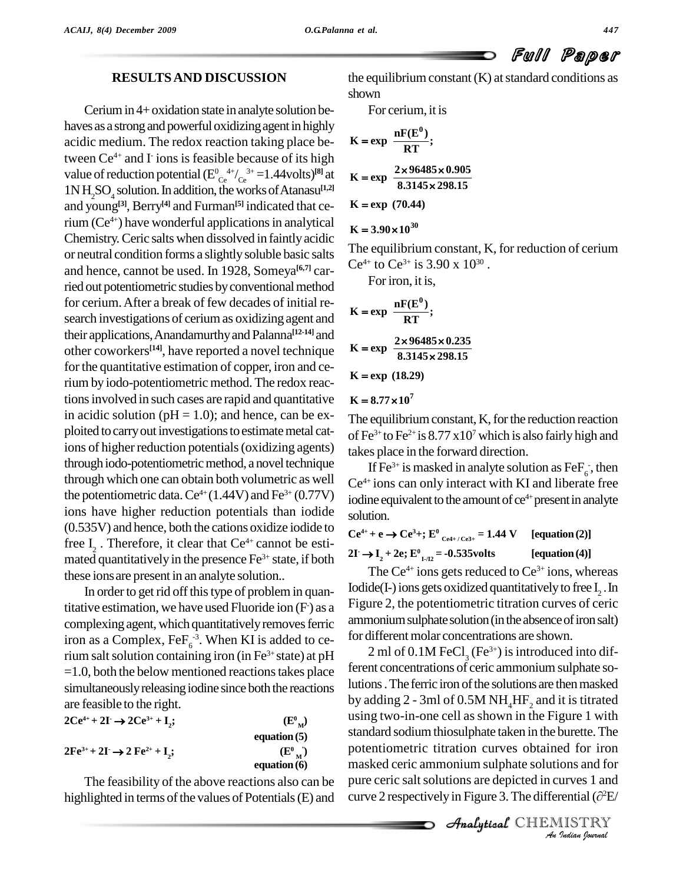#### **RESULTSAND DISCUSSION**

Cerium in 4+ oxidation state in analyte solution behaves as a strong and powerful oxidizing agent in highly acidic medium. The redox reaction taking place between Ce<sup>4+</sup> and I ions is feasible because of its high value of reduction potential  $(E_{\text{Ce}}^{0.4+}/_{\text{Ce}}^{3+}=1.44 \text{volts})^{\text{[8]}}$  at **K**  $1NH_2SO_4$  solution. In addition, the works of Atanasu<sup>[1,2]</sup> and young **[3]**, Berry **[4]** and Furman **[5]** indicated thatcerium (Ce<sup>4+</sup>) have wonderful applications in analytical  $\mathbf{r}$ Chemistry.Ceric salts when dissolved in faintlyacidic or neutral condition forms a slightlysoluble basic salts and hence, cannot be used. In 1928, Someya<sup>[6,7]</sup> carried out potentiometric studies by conventional method for cerium.After a break of few decades of initial re search investigations of ceriumas oxidizing agent and their applications,Anandamurthyand Palanna **[12-14]** and other coworkers<sup>[14]</sup>, have reported a novel technique  $K = e^{i\theta}$ for the quantitative estimation of copper, iron and cerium by iodo-potentiometric method. The redox reactions involved in such cases are rapid and quantitative  $K = 8.77 \times 10^7$ in acidic solution ( $pH = 1.0$ ); and hence, can be exploited to carry out investigations to estimate metal cations of higher reduction potentials (oxidizing agents) through iodo-potentiometric method, a novel technique through which one can obtain both volumetric as well the potentiometric data.  $Ce^{4+}(1.44V)$  and  $Fe^{3+}(0.77V)$  iodi ions have higher reduction potentials than iodide (0.535V) and hence, both the cations oxidize iodide to free  $I_2$ . Therefore, it clear that Ce<sup>4+</sup> cannot be estimated quantitatively in the presence Fe<sup>3+</sup> state, if both  $\overrightarrow{A}$ these ionsare present in an analyte solution..

In order to get rid off this type of problem in quantitative estimation, we have used Fluoride ion  $(F)$  as a  $\Gamma$ <sup>1</sup>guro complexing agent, which quantitatively removes ferric iron as a Complex,  $\text{FeF}_6^{-3}$ . When KI is added to cerium salt solution containing iron (in Fe<sup>3+</sup> state) at pH  $\mu$   $\mu$   $\mu$  of  $=1.0$ , both the below mentioned reactions takes place simultaneously releasing iodine since both the reactions are feasible to the right. **-**

| $2Ce^{4+} + 2I \rightarrow 2Ce^{3+} + I$ ;                                             | $(E^0_{\mathbf{M}})$ |  |
|----------------------------------------------------------------------------------------|----------------------|--|
|                                                                                        | equation $(5)$       |  |
| $2\mathrm{Fe}^{3+}$ + $2\mathrm{I}$ $\rightarrow$ $2\mathrm{Fe}^{2+}$ + $\mathrm{I}$ ; | $(E^0_{\mathbf{M}})$ |  |
|                                                                                        | equation $(6)$       |  |

The feasibility of the above reactions also can be highlighted in terms of the values of Potentials $(E)$  and the equilibrium constant  $(K)$  at standard conditions as shown

For cerium, it is

K = exp 
$$
\frac{nF(E^0)}{RT}
$$
;  
\nK = exp  $\frac{2 \times 96485 \times 0.905}{8.3145 \times 298.15}$   
\nK = exp (70.44)

#### $K = 3.90 \times 10^{30}$

The equilibrium constant, K, for reduction of cerium Ce<sup>4+</sup> to Ce<sup>3+</sup> is 3.90 x 10<sup>30</sup>. .

Foriron, it is,

K = exp 
$$
\frac{nF(E^0)}{RT}
$$
;  
\nK = exp  $\frac{2 \times 96485 \times 0.235}{8.3145 \times 298.15}$   
\nK = exp (18.29)

**K** = exp (18.29)<br>**K** =  $8.77 \times 10^7$ 

The equilibrium constant,  $K$ , for the reduction reaction of Fe<sup>3+</sup> to Fe<sup>2+</sup> is  $8.77 \times 10^7$  which is also fairly high and takes place in the forward direction.

If Fe<sup>3+</sup> is masked in analyte solution as FeF<sub>6</sub>, then Ce<sup>4+</sup> ions can only interact with KI and liberate free iodine equivalent to the amount of ce<sup>4+</sup> present in analyte solution.

**Ce**<sup>4+</sup> + **e**  $\rightarrow$  **Ce**<sup>3</sup>+; **E**<sup>0</sup><sub>**Ce4+/Ce3+</sub> = 1.44 <b>V [equation(2)]**<br> **2I**  $\rightarrow$  **I**  $\rightarrow$  2e· **F**<sup>0</sup>  $\rightarrow$  -0.535yolts **[equation(4)]**</sub>  $2I \rightarrow I_2 + 2e$ ;  $E^0_{I_1/I_2} = -0.535$ volts [equation(4)]

The  $Ce^{4+}$  ions gets reduced to  $Ce^{3+}$  ions, whereas Iodide(I-) ions gets oxidized quantitatively to free  $I_2$  . In Figure 2, the potentiometric titration curves of ceric ammonium sulphate solution (in the absence of iron salt) for different molar concentrations are shown.

potentiometric titration curves obtained for iron *Indian Indian*<br>*I Indian*<br>*IISTRY*<br>*IISTRY*<br>*IIISTRY* 2 ml of  $0.1M$  FeCl<sub>3</sub> (Fe<sup>3+</sup>) is introduced into different concentrations of ceric ammonium sulphate solutions. The ferric iron of the solutions are then masked by adding  $2$  - 3ml of 0.5M NH<sub>4</sub>HF<sub>2</sub> and it is titrated using two-in-one cell as shown in the Figure 1 with standard sodium thiosulphate taken in the burette. The masked ceric ammonium sulphate solutions and for pure ceric saltsolutions are depicted in curves 1 and masked ceric ammonium sulphate solutions and for<br>pure ceric salt solutions are depicted in curves 1 and<br>curve 2 respectively in Figure 3. The differential ( $\partial^2 E/$ 

CHEMISTRY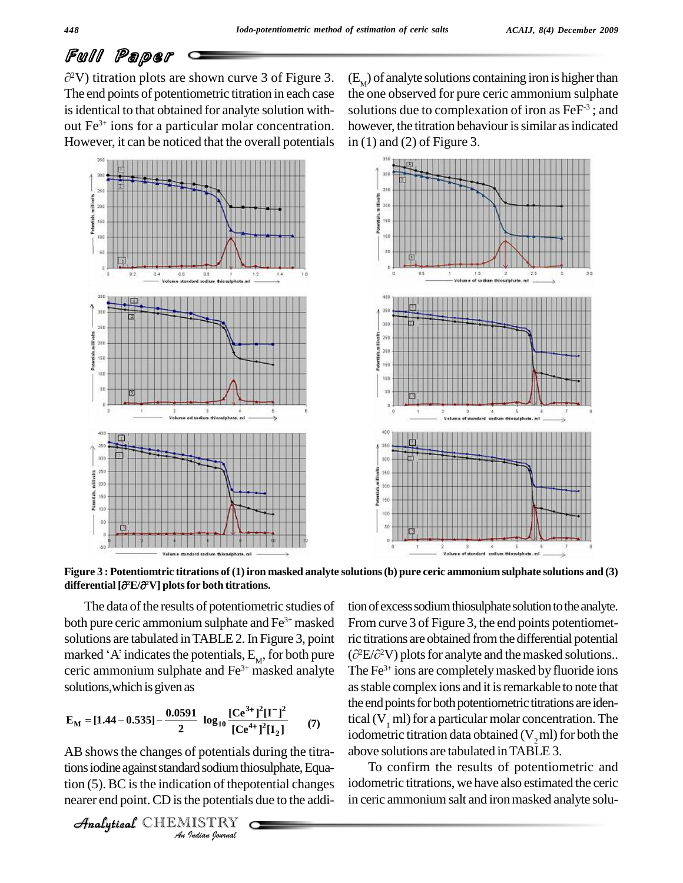<sup>2</sup>V) titration plots are shown curve 3 of Figure 3.  $(E_{\mu})$ The end points of potentiometric titration in each case is identical to that obtained for analyte solution without Fe<sup>3+</sup> ions for a particular molar concentration. ho However, it can be noticed that the overall potentials



 $(E_M)$  of analyte solutions containing iron is higher than the one observed for pure ceric ammonium sulphate solutions due to complexation of iron as FeF<sup>3</sup>; and however, the titration behaviour is similar as indicated in (1) and (2) of Figure 3.



Figure 3 : Potentiomtric titrations of (1) iron masked analyte solutions (b) pure ceric ammonium sulphate solutions and (3) **differential [ <sup>2</sup>E/ differential**  $\left[\partial^2 E/\partial^2 V\right]$  plots for both titrations.

The data of the results of potentiometric studies of both pure ceric ammonium sulphate and Fe<sup>3+</sup> masked From c<br>solutions are tabulated in TABLE 2. In Figure 3, point ric titra<br>marked 'A' indicates the potentials, E<sub>M</sub>, for both pure  $(\partial^2 E/\partial^2 E)$ solutions are tabulated in TABLE 2. In Figure 3, point marked 'A' indicates the potentials,  $E_{M}$ , for both pure ceric ammonium sulphate and  $Fe<sup>3+</sup>$  masked analyte The F solutions, which is given as<br> $0.9501$   $10^{-3+3x}$ 

$$
E_{\rm M} = [1.44 - 0.535] - \frac{0.0591}{2} \log_{10} \frac{[Ce^{3+}]^{2}[I^{-}]^{2}}{[Ce^{4+}]^{2}[I_{2}]} \tag{7}
$$

*Indian Indiana*<br>*Indian Indiana*<br>*IISTRY*<br>*Indian Journal* AB shows the changes of potentials during the titrations iodine against standard sodium thiosulphate, Equation (5). BC is the indication of the potential changes nearer end point.CD isthe potentials due to the addi-

```
CHEMISTRY
```
tion of excess sodium thiosulphate solution to the analyte. From curve 3 of Figure 3, the end points potentiometric titrations are obtained fromthe differential potential From curve 3 of Figure 3, the end points potentiometric titrations are obtained from the differential potential  $(\partial^2 E/\partial^2 V)$  plots for analyte and the masked solutions.. The Fe 3+ ions are completelymasked by fluoride ions as stable complex ions and it is remarkable to note that the end points for both potentiometric titrations are identical  $(V_1$  ml) for a particular molar concentration. The iodometric titration data obtained  $(V,ml)$  for both the above solutions are tabulated inTABLE 3.

To confirm the results of potentiometric and iodometric titrations, we have also estimated the ceric in ceric ammonium salt and iron masked analyte solu-